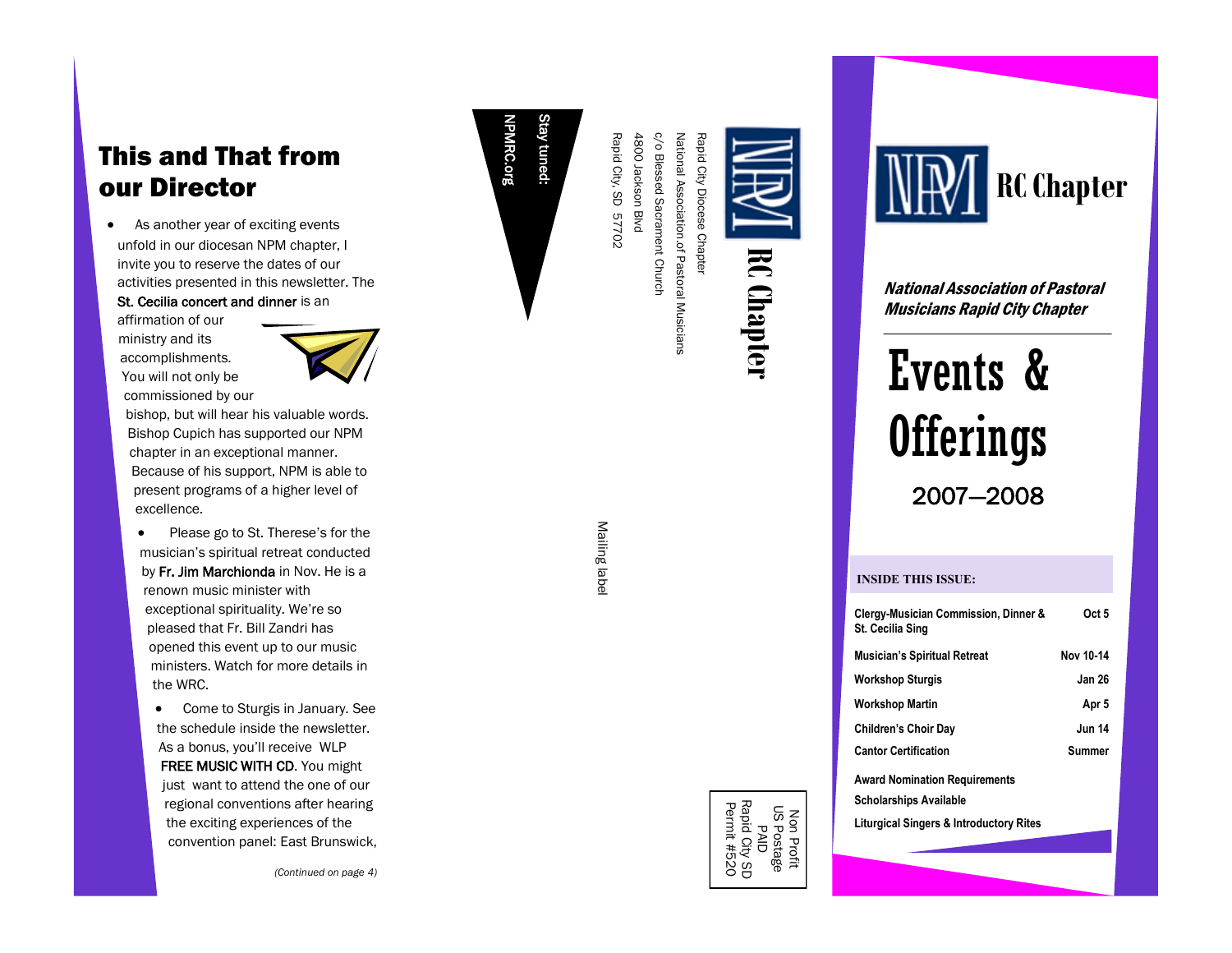# This and That from our Director

• As another year of exciting events unfold in our diocesan NPM chapter, I invite you to reserve the dates of our activities presented in this newsletter. The St. Cecilia concert and dinner is an

affirmation of our ministry and its accomplishments. You will not only be commissioned by our



bishop, but will hear his valuable words. Bishop Cupich has supported our NPM chapter in an exceptional manner. Because of his support, NPM is able to present programs of a higher level of excellence.

• Please go to St. Therese's for the musician's spiritual retreat conducted by Fr. Jim Marchionda in Nov. He is a renown music minister with exceptional spirituality. We're so pleased that Fr. Bill Zandri has opened this event up to our music ministers. Watch for more details in the WRC.

 Come to Sturgis in January. See the schedule inside the newsletter. As a bonus, you'll receive WLP FREE MUSIC WITH CD. You might just want to attend the one of our regional conventions after hearing the exciting experiences of the convention panel: East Brunswick,

*(Continued on page 4 )*

tuned:

Rapid City, SD 57702 4800 Jackson Blvd c/o Blessed Sacrament Church National Association.of Pastoral Musicians Rapid City Diocese Chapter 4800 Jackson Blvd c/o Blessed Sacrament Church Rapid City, SD 57702 National Association.of Pastoral Musicians Rapid City Diocese Chapter

**RC Chapter**

Mailing labe Mailing label



**RC Chapter**

National Association of Pastoral Musicians Rapid City Chapter

# Events & **Offerings** 2007 —2008

#### **INSIDE THIS ISSUE:**

| Clergy-Musician Commission, Dinner &<br><b>St. Cecilia Sing</b>       | Oct 5         |
|-----------------------------------------------------------------------|---------------|
| <b>Musician's Spiritual Retreat</b>                                   | Nov 10-14     |
| <b>Workshop Sturgis</b>                                               | <b>Jan 26</b> |
| Workshop Martin                                                       | Apr 5         |
| <b>Children's Choir Day</b>                                           | <b>Jun 14</b> |
| <b>Cantor Certification</b>                                           | Summer        |
| <b>Award Nomination Requirements</b><br><b>Scholarships Available</b> |               |

**Liturgical Singers & Introductory Rites**

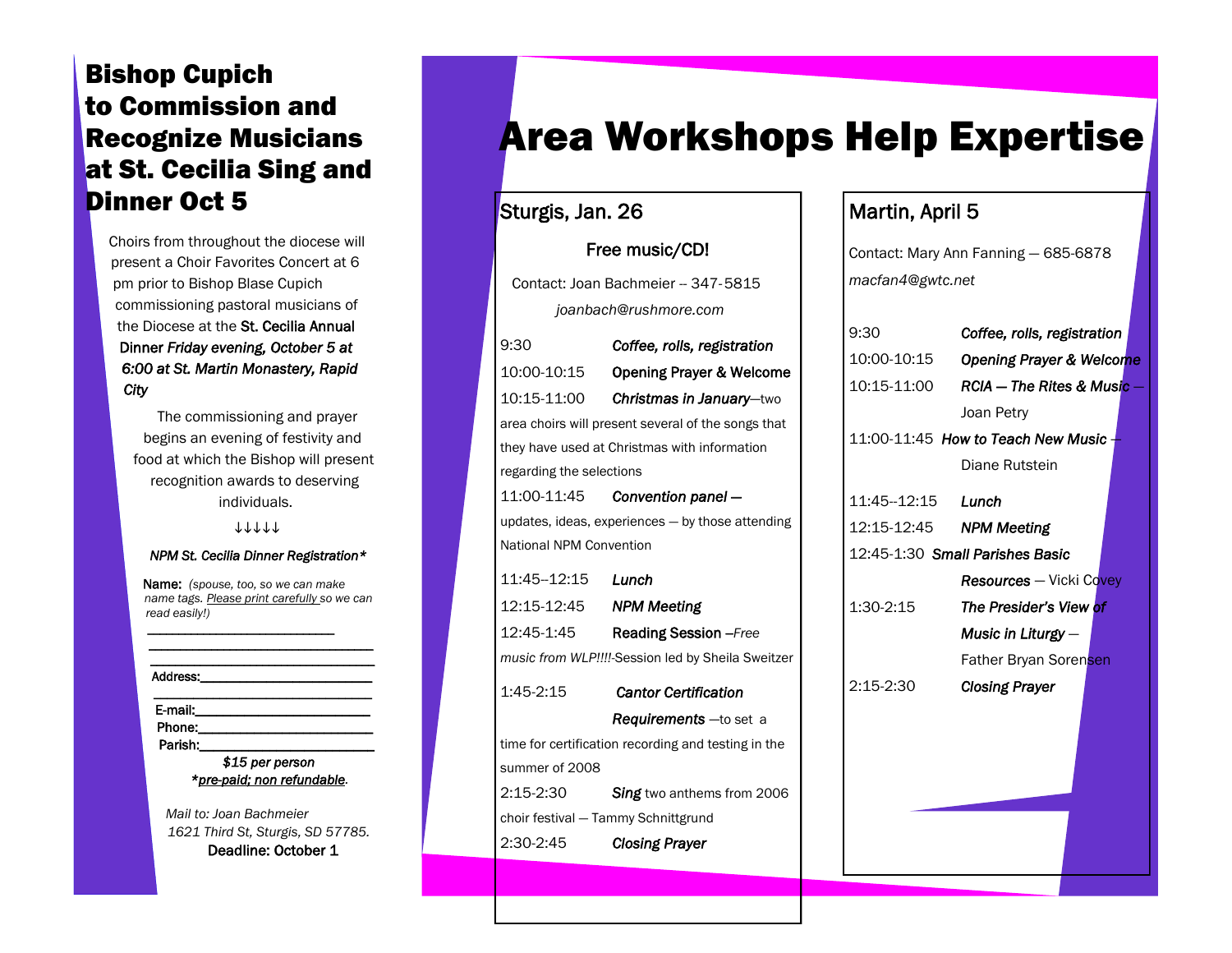# Bishop Cupich to Commission and Recognize Musicians at St. Cecilia Sing and Dinner Oct 5

Choirs from throughout the diocese will present a Choir Favorites Concert at 6 pm prior to Bishop Blase Cupich commissioning pastoral musicians of the Diocese at the St. Cecilia Annual Dinner *Friday evening, October 5 at 6:00 at St. Martin Monastery, Rapid City*

 The commissioning and prayer begins an evening of festivity and food at which the Bishop will present recognition awards to deserving individuals.

11111

#### *NPM St. Cecilia Dinner Registration\**

Name: *(spouse, too, so we can make name tags. Please print carefully so we can read easily!)* 

*\_\_\_\_\_\_\_\_\_\_\_\_\_\_\_\_\_\_\_\_\_\_\_\_\_\_\_\_\_\_ \_\_\_\_\_\_\_\_\_\_\_\_\_\_\_\_\_\_\_\_\_\_\_\_\_\_\_\_\_\_\_\_\_\_\_\_* 

*\_\_\_\_\_\_\_\_\_\_\_\_\_\_\_\_\_\_\_\_\_\_\_\_\_\_\_\_\_\_\_\_\_\_\_\_* Address: \_\_\_\_\_\_\_\_\_\_\_\_\_\_\_\_\_\_\_\_\_\_\_\_\_\_\_\_\_\_\_\_\_ E-mail:\_\_\_\_\_\_\_\_\_\_\_\_\_\_\_\_\_\_\_\_\_\_\_\_\_ Phone:

Parish: *\$15 per person \*pre-paid; non refundable.* 

*Mail to: Joan Bachmeier 1621 Third St, Sturgis, SD 57785.* Deadline: October 1

# Area Workshops Help Expertise

#### Sturgis, Jan. 26

#### Free music/CD!

 Contact: Joan Bachmeier -- 347-5815 *joanbach@rushmore.com*

| 9:30                                                | Coffee, rolls, registration                         |  |
|-----------------------------------------------------|-----------------------------------------------------|--|
| 10:00-10:15                                         | Opening Prayer & Welcome                            |  |
| 10:15-11:00                                         | Christmas in January-two                            |  |
|                                                     | area choirs will present several of the songs that  |  |
|                                                     | they have used at Christmas with information        |  |
| regarding the selections                            |                                                     |  |
|                                                     | 11:00-11:45 Convention panel -                      |  |
|                                                     | updates, ideas, experiences - by those attending    |  |
| National NPM Convention                             |                                                     |  |
| 11:45-12:15    Lunch                                |                                                     |  |
|                                                     |                                                     |  |
| 12:45-1:45                                          | <b>Reading Session - Free</b>                       |  |
| music from WLP !!!!- Session led by Sheila Sweitzer |                                                     |  |
| $1:45-2:15$                                         | <b>Cantor Certification</b>                         |  |
|                                                     | <b>Requirements</b> —to set a                       |  |
|                                                     | time for certification recording and testing in the |  |
| summer of 2008                                      |                                                     |  |
| 2:15-2:30                                           | <b>Sing</b> two anthems from 2006                   |  |
| choir festival - Tammy Schnittgrund                 |                                                     |  |
| 2:30-2:45                                           | <b>Closing Prayer</b>                               |  |
|                                                     |                                                     |  |

#### Martin, April 5

Contact: Mary Ann Fanning — 685-6878 *macfan4@gwtc.net*

| Coffee, rolls, registration         |
|-------------------------------------|
| <b>Opening Prayer &amp; Welcome</b> |
| <b>RCIA – The Rites &amp; Music</b> |
| Joan Petry                          |
| 11:00-11:45 How to Teach New Music  |
| Diane Rutstein                      |
| Lunch                               |
|                                     |
| 12:45-1:30 Small Parishes Basic     |
| <b>Resources</b> – Vicki Covey      |
| The Presider's View of              |
| Music in Liturgy $-$                |
| Father Bryan Sorensen               |
| <b>Closing Prayer</b>               |
|                                     |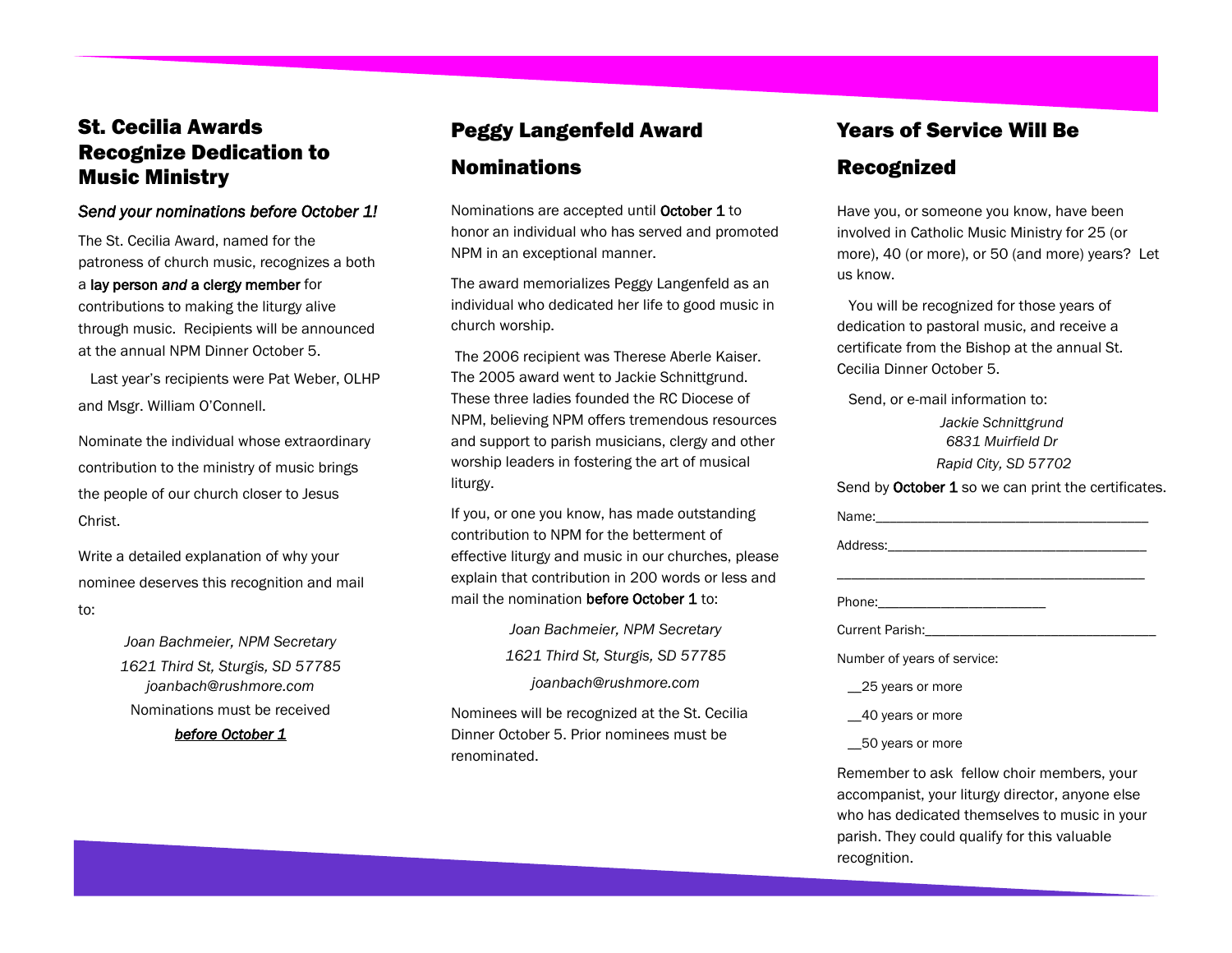#### St. Cecilia Awards Recognize Dedication to Music Ministry

#### *Send your nominations before October 1!*

The St. Cecilia Award, named for the patroness of church music, recognizes a both a lay person *and* a clergy member for contributions to making the liturgy alive through music. Recipients will be announced at the annual NPM Dinner October 5.

 Last year's recipients were Pat Weber, OLHP and Msgr. William O'Connell.

Nominate the individual whose extraordinary contribution to the ministry of music brings the people of our church closer to Jesus Christ.

Write a detailed explanation of why your nominee deserves this recognition and mail to:

> *Joan Bachmeier, NPM Secretary 1621 Third St, Sturgis, SD 57785 joanbach@rushmore.com* Nominations must be received

> > *before October 1*

### Peggy Langenfeld Award Nominations

Nominations are accepted until October 1 to honor an individual who has served and promoted NPM in an exceptional manner.

The award memorializes Peggy Langenfeld as an individual who dedicated her life to good music in church worship.

The 2006 recipient was Therese Aberle Kaiser. The 2005 award went to Jackie Schnittgrund. These three ladies founded the RC Diocese of NPM, believing NPM offers tremendous resources and support to parish musicians, clergy and other worship leaders in fostering the art of musical liturgy.

If you, or one you know, has made outstanding contribution to NPM for the betterment of effective liturgy and music in our churches, please explain that contribution in 200 words or less and mail the nomination before October 1to:

> *Joan Bachmeier, NPM Secretary 1621 Third St, Sturgis, SD 57785 joanbach@rushmore.com*

Nominees will be recognized at the St. Cecilia Dinner October 5. Prior nominees must be renominated.

#### Years of Service Will Be

#### Recognized

Have you, or someone you know, have been involved in Catholic Music Ministry for 25 (or more), 40 (or more), or 50 (and more) years? Let us know.

 You will be recognized for those years of dedication to pastoral music, and receive a certificate from the Bishop at the annual St. Cecilia Dinner October 5.

Send, or e-mail information to:

*Jackie Schnittgrund 6831 Muirfield Dr Rapid City, SD 57702* 

Send by October 1 so we can print the certificates.

| Number of years of service:                                                                                                                                                                    |
|------------------------------------------------------------------------------------------------------------------------------------------------------------------------------------------------|
| 25 years or more                                                                                                                                                                               |
| __40 years or more                                                                                                                                                                             |
| 50 years or more                                                                                                                                                                               |
| Remember to ask fellow choir members, your<br>accompanist, your liturgy director, anyone else<br>who has dedicated themselves to music in your<br>parish. They could qualify for this valuable |

recognition.